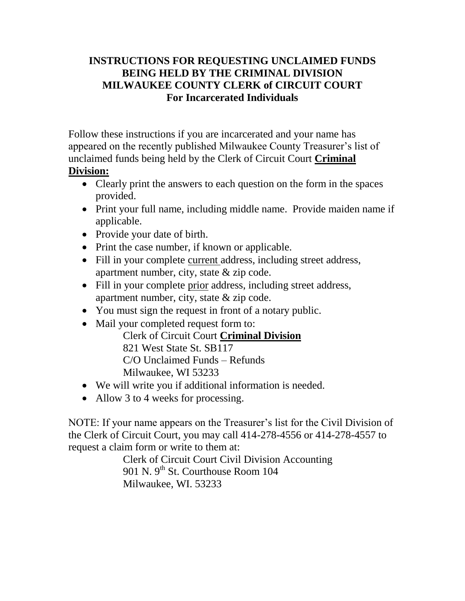## **INSTRUCTIONS FOR REQUESTING UNCLAIMED FUNDS BEING HELD BY THE CRIMINAL DIVISION MILWAUKEE COUNTY CLERK of CIRCUIT COURT For Incarcerated Individuals**

Follow these instructions if you are incarcerated and your name has appeared on the recently published Milwaukee County Treasurer's list of unclaimed funds being held by the Clerk of Circuit Court **Criminal Division:**

## • Clearly print the answers to each question on the form in the spaces provided.

- Print your full name, including middle name. Provide maiden name if applicable.
- Provide your date of birth.
- Print the case number, if known or applicable.
- Fill in your complete current address, including street address, apartment number, city, state & zip code.
- Fill in your complete prior address, including street address, apartment number, city, state & zip code.
- You must sign the request in front of a notary public.
- Mail your completed request form to:

Clerk of Circuit Court **Criminal Division** 821 West State St. SB117 C/O Unclaimed Funds – Refunds Milwaukee, WI 53233

- We will write you if additional information is needed.
- Allow 3 to 4 weeks for processing.

NOTE: If your name appears on the Treasurer's list for the Civil Division of the Clerk of Circuit Court, you may call 414-278-4556 or 414-278-4557 to request a claim form or write to them at:

Clerk of Circuit Court Civil Division Accounting 901 N. 9<sup>th</sup> St. Courthouse Room 104 Milwaukee, WI. 53233